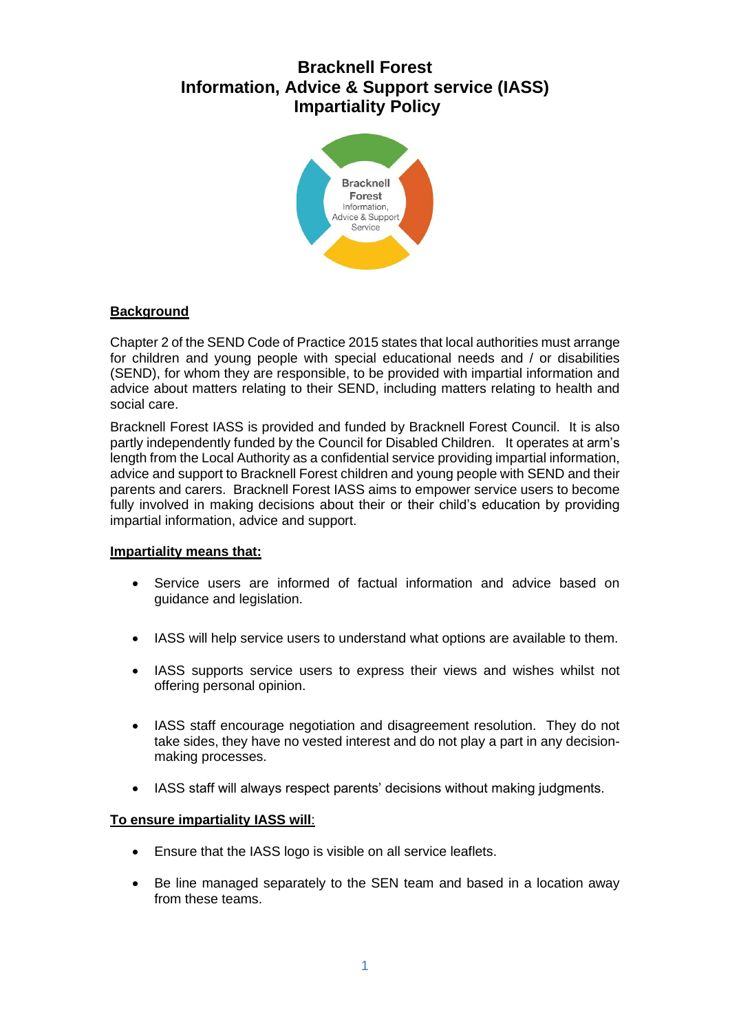# **Bracknell Forest Information, Advice & Support service (IASS) Impartiality Policy**



## **Background**

Chapter 2 of the SEND Code of Practice 2015 states that local authorities must arrange for children and young people with special educational needs and / or disabilities (SEND), for whom they are responsible, to be provided with impartial information and advice about matters relating to their SEND, including matters relating to health and social care.

Bracknell Forest IASS is provided and funded by Bracknell Forest Council. It is also partly independently funded by the Council for Disabled Children. It operates at arm's length from the Local Authority as a confidential service providing impartial information, advice and support to Bracknell Forest children and young people with SEND and their parents and carers. Bracknell Forest IASS aims to empower service users to become fully involved in making decisions about their or their child's education by providing impartial information, advice and support.

## **Impartiality means that:**

- Service users are informed of factual information and advice based on guidance and legislation.
- IASS will help service users to understand what options are available to them.
- IASS supports service users to express their views and wishes whilst not offering personal opinion.
- IASS staff encourage negotiation and disagreement resolution. They do not take sides, they have no vested interest and do not play a part in any decisionmaking processes.
- IASS staff will always respect parents' decisions without making judgments.

#### **To ensure impartiality IASS will**:

- Ensure that the IASS logo is visible on all service leaflets.
- Be line managed separately to the SEN team and based in a location away from these teams.